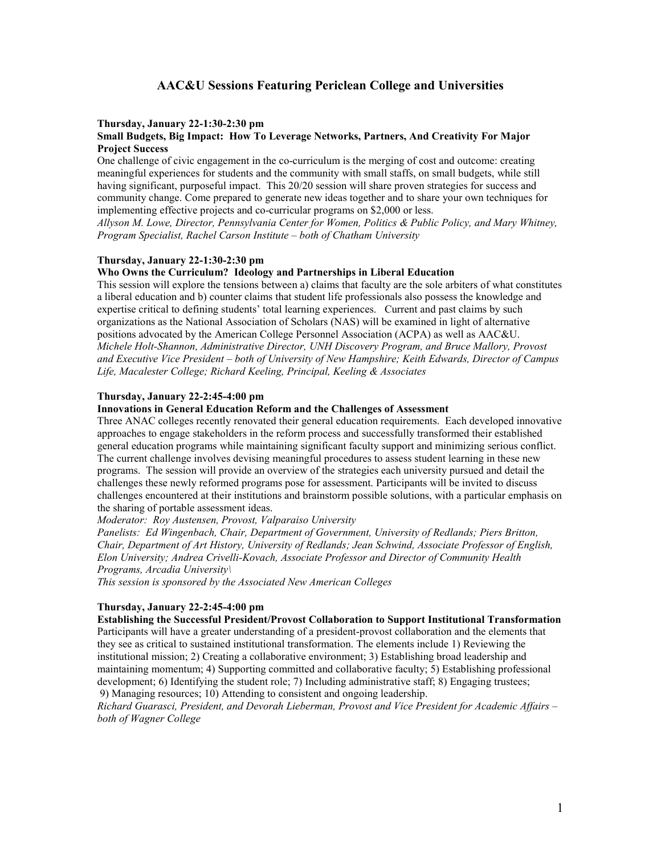# **AAC&U Sessions Featuring Periclean College and Universities**

### **Thursday, January 22-1:30-2:30 pm**

## **Small Budgets, Big Impact: How To Leverage Networks, Partners, And Creativity For Major Project Success**

One challenge of civic engagement in the co-curriculum is the merging of cost and outcome: creating meaningful experiences for students and the community with small staffs, on small budgets, while still having significant, purposeful impact. This 20/20 session will share proven strategies for success and community change. Come prepared to generate new ideas together and to share your own techniques for implementing effective projects and co-curricular programs on \$2,000 or less.

*Allyson M. Lowe, Director, [Pennsylvania Center for Women, Politics & Public Policy,](http://www.pcwppp.org/) and Mary Whitney, Program Specialist, [Rachel Carson Institute](http://www.chatham.edu/RCI/) – both of Chatham University* 

### **Thursday, January 22-1:30-2:30 pm**

### **Who Owns the Curriculum? Ideology and Partnerships in Liberal Education**

This session will explore the tensions between a) claims that faculty are the sole arbiters of what constitutes a liberal education and b) counter claims that student life professionals also possess the knowledge and expertise critical to defining students' total learning experiences. Current and past claims by such organizations as the National Association of Scholars (NAS) will be examined in light of alternative positions advocated by the American College Personnel Association (ACPA) as well as AAC&U. *Michele Holt-Shannon, Administrative Director, [UNH Discovery Program](http://www.unh.edu/academic-affairs/discovery/), and Bruce Mallory, Provost and Executive Vice President – both of University of New Hampshire; Keith Edwards, Director of Campus Life, Macalester College; Richard Keeling, Principal, Keeling & Associates* 

### **Thursday, January 22-2:45-4:00 pm**

## **Innovations in General Education Reform and the Challenges of Assessment**

Three ANAC colleges recently renovated their general education requirements. Each developed innovative approaches to engage stakeholders in the reform process and successfully transformed their established general education programs while maintaining significant faculty support and minimizing serious conflict. The current challenge involves devising meaningful procedures to assess student learning in these new programs. The session will provide an overview of the strategies each university pursued and detail the challenges these newly reformed programs pose for assessment. Participants will be invited to discuss challenges encountered at their institutions and brainstorm possible solutions, with a particular emphasis on the sharing of portable assessment ideas.

*Moderator: Roy Austensen, Provost, Valparaiso University* 

*Panelists: Ed Wingenbach, Chair, Department of Government, University of Redlands; Piers Britton, Chair, Department of Art History, University of Redlands; Jean Schwind, Associate Professor of English, Elon University; Andrea Crivelli-Kovach, Associate Professor and Director of Community Health Programs, Arcadia University\* 

*This session is sponsored by the [Associated New American Colleges](http://www.anac.org/)* 

### **Thursday, January 22-2:45-4:00 pm**

**Establishing the Successful President/Provost Collaboration to Support Institutional Transformation** Participants will have a greater understanding of a president-provost collaboration and the elements that they see as critical to sustained institutional transformation. The elements include 1) Reviewing the institutional mission; 2) Creating a collaborative environment; 3) Establishing broad leadership and maintaining momentum; 4) Supporting committed and collaborative faculty; 5) Establishing professional development; 6) Identifying the student role; 7) Including administrative staff; 8) Engaging trustees; 9) Managing resources; 10) Attending to consistent and ongoing leadership.

*Richard Guarasci, President, and Devorah Lieberman, Provost and Vice President for Academic Affairs – both of Wagner College*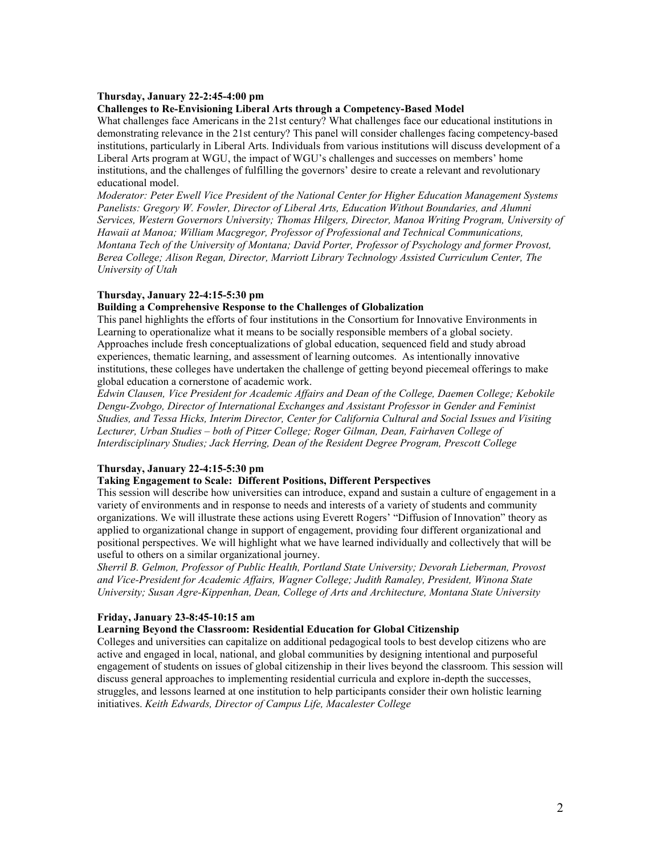#### **Thursday, January 22-2:45-4:00 pm**

#### **Challenges to Re-Envisioning Liberal Arts through a Competency-Based Model**

What challenges face Americans in the 21st century? What challenges face our educational institutions in demonstrating relevance in the 21st century? This panel will consider challenges facing competency-based institutions, particularly in Liberal Arts. Individuals from various institutions will discuss development of a Liberal Arts program at WGU, the impact of WGU's challenges and successes on members' home institutions, and the challenges of fulfilling the governors' desire to create a relevant and revolutionary educational model.

*Moderator: Peter Ewell Vice President of the [National Center for Higher Education Management Systems](http://www.nchems.org/)  Panelists: Gregory W. Fowler, Director of Liberal Arts, Education Without Boundaries, and Alumni Services, Western Governors University; Thomas Hilgers, Director, [Manoa Writing Program,](http://www.mwp.hawaii.edu/Default.htm) University of Hawaii at Manoa; William Macgregor, Professor of Professional and Technical Communications, Montana Tech of the University of Montana; David Porter, Professor of Psychology and former Provost, Berea College; Alison Regan, Director, [Marriott Library Technology Assisted Curriculum Center,](http://tacc.utah.edu/) The University of Utah* 

### **Thursday, January 22-4:15-5:30 pm**

### **Building a Comprehensive Response to the Challenges of Globalization**

This panel highlights the efforts of four institutions in the Consortium for Innovative Environments in Learning to operationalize what it means to be socially responsible members of a global society. Approaches include fresh conceptualizations of global education, sequenced field and study abroad experiences, thematic learning, and assessment of learning outcomes. As intentionally innovative institutions, these colleges have undertaken the challenge of getting beyond piecemeal offerings to make global education a cornerstone of academic work.

*Edwin Clausen, Vice President for Academic Affairs and Dean of the College, Daemen College; Kebokile Dengu-Zvobgo, Director of International Exchanges and Assistant Professor in Gender and Feminist Studies, and Tessa Hicks, Interim Director, Center for California Cultural and Social Issues and Visiting Lecturer, Urban Studies – both of Pitzer College; Roger Gilman, Dean, Fairhaven College of Interdisciplinary Studies; Jack Herring, Dean of the Resident Degree Program, Prescott College* 

### **Thursday, January 22-4:15-5:30 pm**

### **Taking Engagement to Scale: Different Positions, Different Perspectives**

This session will describe how universities can introduce, expand and sustain a culture of engagement in a variety of environments and in response to needs and interests of a variety of students and community organizations. We will illustrate these actions using Everett Rogers' "Diffusion of Innovation" theory as applied to organizational change in support of engagement, providing four different organizational and positional perspectives. We will highlight what we have learned individually and collectively that will be useful to others on a similar organizational journey.

*Sherril B. Gelmon, Professor of Public Health, Portland State University; Devorah Lieberman, Provost and Vice-President for Academic Affairs, Wagner College; Judith Ramaley, President, Winona State University; Susan Agre-Kippenhan, Dean, College of Arts and Architecture, Montana State University* 

### **Friday, January 23-8:45-10:15 am**

### **Learning Beyond the Classroom: Residential Education for Global Citizenship**

Colleges and universities can capitalize on additional pedagogical tools to best develop citizens who are active and engaged in local, national, and global communities by designing intentional and purposeful engagement of students on issues of global citizenship in their lives beyond the classroom. This session will discuss general approaches to implementing residential curricula and explore in-depth the successes, struggles, and lessons learned at one institution to help participants consider their own holistic learning initiatives. *Keith Edwards, Director of Campus Life, Macalester College*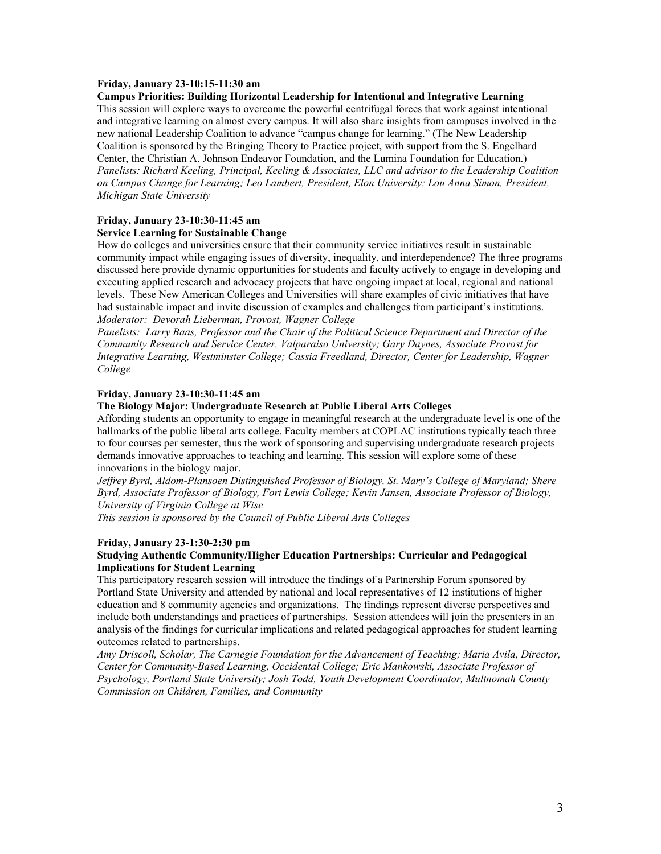### **Friday, January 23-10:15-11:30 am**

#### **Campus Priorities: Building Horizontal Leadership for Intentional and Integrative Learning**

This session will explore ways to overcome the powerful centrifugal forces that work against intentional and integrative learning on almost every campus. It will also share insights from campuses involved in the new national Leadership Coalition to advance "campus change for learning." (The New Leadership Coalition is sponsored by the Bringing Theory to Practice project, with support from the S. Engelhard Center, the Christian A. Johnson Endeavor Foundation, and the Lumina Foundation for Education.) *Panelists: Richard Keeling, Principal, Keeling & Associates, LLC and advisor to the Leadership Coalition on Campus Change for Learning; Leo Lambert, President, Elon University; Lou Anna Simon, President, Michigan State University* 

## **Friday, January 23-10:30-11:45 am**

### **Service Learning for Sustainable Change**

How do colleges and universities ensure that their community service initiatives result in sustainable community impact while engaging issues of diversity, inequality, and interdependence? The three programs discussed here provide dynamic opportunities for students and faculty actively to engage in developing and executing applied research and advocacy projects that have ongoing impact at local, regional and national levels. These New American Colleges and Universities will share examples of civic initiatives that have had sustainable impact and invite discussion of examples and challenges from participant's institutions. *Moderator: Devorah Lieberman, Provost, Wagner College* 

*Panelists: Larry Baas, Professor and the Chair of the Political Science Department and Director of the [Community Research and Service Center,](http://www.valpo.edu/politicalscience/crsc.php) Valparaiso University; Gary Daynes, Associate Provost for Integrative Learning, Westminster College; Cassia Freedland, Director, Center for Leadership, Wagner College* 

#### **Friday, January 23-10:30-11:45 am**

### **The Biology Major: Undergraduate Research at Public Liberal Arts Colleges**

Affording students an opportunity to engage in meaningful research at the undergraduate level is one of the hallmarks of the public liberal arts college. Faculty members at COPLAC institutions typically teach three to four courses per semester, thus the work of sponsoring and supervising undergraduate research projects demands innovative approaches to teaching and learning. This session will explore some of these innovations in the biology major.

*Jeffrey Byrd, Aldom-Plansoen Distinguished Professor of Biology, St. Mary's College of Maryland; Shere Byrd, Associate Professor of Biology, Fort Lewis College; Kevin Jansen, Associate Professor of Biology, University of Virginia College at Wise* 

*This session is sponsored by the [Council of Public Liberal Arts Colleges](http://www.coplac.org/)* 

#### **Friday, January 23-1:30-2:30 pm**

#### **Studying Authentic Community/Higher Education Partnerships: Curricular and Pedagogical Implications for Student Learning**

This participatory research session will introduce the findings of a Partnership Forum sponsored by Portland State University and attended by national and local representatives of 12 institutions of higher education and 8 community agencies and organizations. The findings represent diverse perspectives and include both understandings and practices of partnerships. Session attendees will join the presenters in an analysis of the findings for curricular implications and related pedagogical approaches for student learning outcomes related to partnerships.

*Amy Driscoll, Scholar, [The Carnegie Foundation for the Advancement of Teaching;](http://www.carnegiefoundation.org/) Maria Avila, Director, [Center for Community-Based Learning,](http://departments.oxy.edu/ccbl/) Occidental College; Eric Mankowski, Associate Professor of Psychology, Portland State University; Josh Todd, Youth Development Coordinator, Multnomah County Commission on Children, Families, and Community*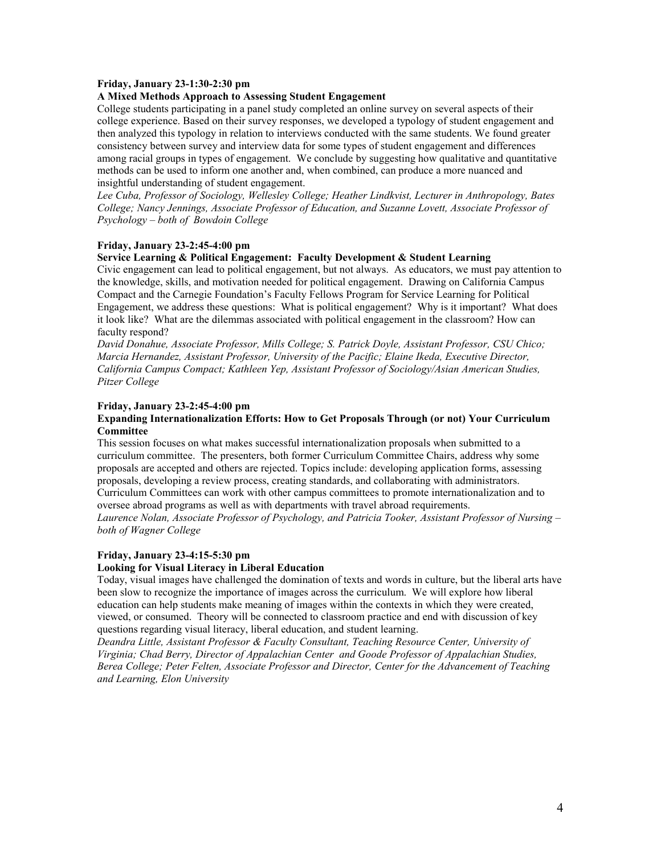### **Friday, January 23-1:30-2:30 pm**

#### **A Mixed Methods Approach to Assessing Student Engagement**

College students participating in a panel study completed an online survey on several aspects of their college experience. Based on their survey responses, we developed a typology of student engagement and then analyzed this typology in relation to interviews conducted with the same students. We found greater consistency between survey and interview data for some types of student engagement and differences among racial groups in types of engagement. We conclude by suggesting how qualitative and quantitative methods can be used to inform one another and, when combined, can produce a more nuanced and insightful understanding of student engagement.

*Lee Cuba, Professor of Sociology, Wellesley College; Heather Lindkvist, Lecturer in Anthropology, Bates College; Nancy Jennings, Associate Professor of Education, and Suzanne Lovett, Associate Professor of Psychology – both of Bowdoin College* 

#### **Friday, January 23-2:45-4:00 pm**

#### **Service Learning & Political Engagement: Faculty Development & Student Learning**

Civic engagement can lead to political engagement, but not always. As educators, we must pay attention to the knowledge, skills, and motivation needed for political engagement. Drawing on California Campus Compact and the Carnegie Foundation's Faculty Fellows Program for Service Learning for Political Engagement, we address these questions: What is political engagement? Why is it important? What does it look like? What are the dilemmas associated with political engagement in the classroom? How can faculty respond?

*David Donahue, Associate Professor, Mills College; S. Patrick Doyle, Assistant Professor, CSU Chico; Marcia Hernandez, Assistant Professor, University of the Pacific; Elaine Ikeda, Executive Director, California Campus Compact; Kathleen Yep, Assistant Professor of Sociology/Asian American Studies, Pitzer College* 

#### **Friday, January 23-2:45-4:00 pm**

### **Expanding Internationalization Efforts: How to Get Proposals Through (or not) Your Curriculum Committee**

This session focuses on what makes successful internationalization proposals when submitted to a curriculum committee. The presenters, both former Curriculum Committee Chairs, address why some proposals are accepted and others are rejected. Topics include: developing application forms, assessing proposals, developing a review process, creating standards, and collaborating with administrators. Curriculum Committees can work with other campus committees to promote internationalization and to oversee abroad programs as well as with departments with travel abroad requirements.

*Laurence Nolan, Associate Professor of Psychology, and Patricia Tooker, Assistant Professor of Nursing – both of Wagner College*

#### **Friday, January 23-4:15-5:30 pm**

#### **Looking for Visual Literacy in Liberal Education**

Today, visual images have challenged the domination of texts and words in culture, but the liberal arts have been slow to recognize the importance of images across the curriculum. We will explore how liberal education can help students make meaning of images within the contexts in which they were created, viewed, or consumed. Theory will be connected to classroom practice and end with discussion of key questions regarding visual literacy, liberal education, and student learning.

*Deandra Little, Assistant Professor & Faculty Consultant, [Teaching Resource Center](http://trc.virginia.edu/), University of Virginia; Chad Berry, Director of [Appalachian Center](http://www.berea.edu/AppalachianCenter/) and Goode Professor of Appalachian Studies, Berea College; Peter Felten, Associate Professor and Director, [Center for the Advancement of Teaching](http://org.elon.edu/catl/)  [and Learning,](http://org.elon.edu/catl/) Elon University*